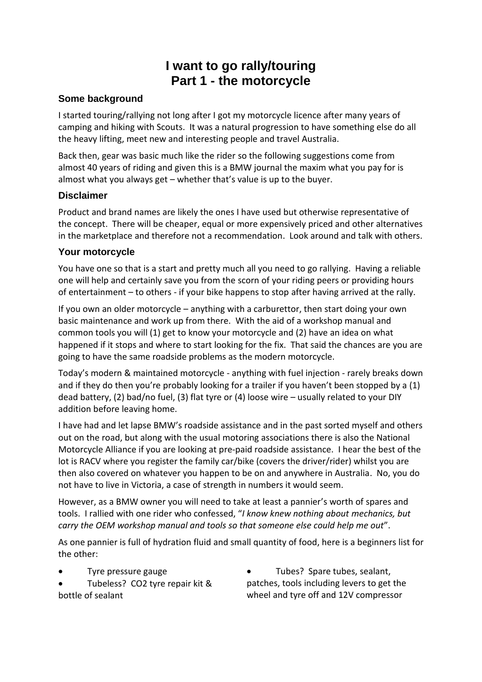# **I want to go rally/touring Part 1 - the motorcycle**

### **Some background**

I started touring/rallying not long after I got my motorcycle licence after many years of camping and hiking with Scouts. It was a natural progression to have something else do all the heavy lifting, meet new and interesting people and travel Australia.

Back then, gear was basic much like the rider so the following suggestions come from almost 40 years of riding and given this is a BMW journal the maxim what you pay for is almost what you always get – whether that's value is up to the buyer.

#### **Disclaimer**

Product and brand names are likely the ones I have used but otherwise representative of the concept. There will be cheaper, equal or more expensively priced and other alternatives in the marketplace and therefore not a recommendation. Look around and talk with others.

#### **Your motorcycle**

You have one so that is a start and pretty much all you need to go rallying. Having a reliable one will help and certainly save you from the scorn of your riding peers or providing hours of entertainment – to others - if your bike happens to stop after having arrived at the rally.

If you own an older motorcycle – anything with a carburettor, then start doing your own basic maintenance and work up from there. With the aid of a workshop manual and common tools you will (1) get to know your motorcycle and (2) have an idea on what happened if it stops and where to start looking for the fix. That said the chances are you are going to have the same roadside problems as the modern motorcycle.

Today's modern & maintained motorcycle - anything with fuel injection - rarely breaks down and if they do then you're probably looking for a trailer if you haven't been stopped by a (1) dead battery, (2) bad/no fuel, (3) flat tyre or (4) loose wire – usually related to your DIY addition before leaving home.

I have had and let lapse BMW's roadside assistance and in the past sorted myself and others out on the road, but along with the usual motoring associations there is also the National Motorcycle Alliance if you are looking at pre-paid roadside assistance. I hear the best of the lot is RACV where you register the family car/bike (covers the driver/rider) whilst you are then also covered on whatever you happen to be on and anywhere in Australia. No, you do not have to live in Victoria, a case of strength in numbers it would seem.

However, as a BMW owner you will need to take at least a pannier's worth of spares and tools. I rallied with one rider who confessed, "*I know knew nothing about mechanics, but carry the OEM workshop manual and tools so that someone else could help me out*".

As one pannier is full of hydration fluid and small quantity of food, here is a beginners list for the other:

- Tyre pressure gauge
- Tubeless? CO2 tyre repair kit & bottle of sealant
- Tubes? Spare tubes, sealant, patches, tools including levers to get the wheel and tyre off and 12V compressor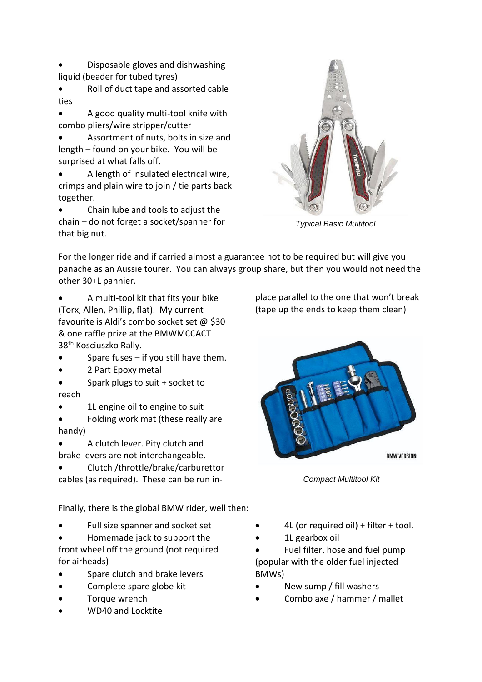- Disposable gloves and dishwashing liquid (beader for tubed tyres)
- Roll of duct tape and assorted cable ties
- A good quality multi-tool knife with combo pliers/wire stripper/cutter
- Assortment of nuts, bolts in size and length – found on your bike. You will be surprised at what falls off.
- A length of insulated electrical wire, crimps and plain wire to join / tie parts back together.
- Chain lube and tools to adjust the chain – do not forget a socket/spanner for that big nut.



*Typical Basic Multitool*

For the longer ride and if carried almost a guarantee not to be required but will give you panache as an Aussie tourer. You can always group share, but then you would not need the other 30+L pannier.

- A multi-tool kit that fits your bike (Torx, Allen, Phillip, flat). My current favourite is Aldi's combo socket set @ \$30 & one raffle prize at the BMWMCCACT 38th Kosciuszko Rally.
- Spare fuses if you still have them.
- 2 Part Epoxy metal
- Spark plugs to suit + socket to reach
- 1L engine oil to engine to suit
- Folding work mat (these really are handy)
- A clutch lever. Pity clutch and brake levers are not interchangeable.
- Clutch /throttle/brake/carburettor cables (as required). These can be run in-

Finally, there is the global BMW rider, well then:

- Full size spanner and socket set
- Homemade jack to support the

front wheel off the ground (not required for airheads)

- Spare clutch and brake levers
- Complete spare globe kit
- Torque wrench
- WD40 and Locktite

place parallel to the one that won't break (tape up the ends to keep them clean)



*Compact Multitool Kit*

- 4L (or required oil) + filter + tool.
- 1L gearbox oil

 Fuel filter, hose and fuel pump (popular with the older fuel injected BMWs)

- New sump / fill washers
- Combo axe / hammer / mallet